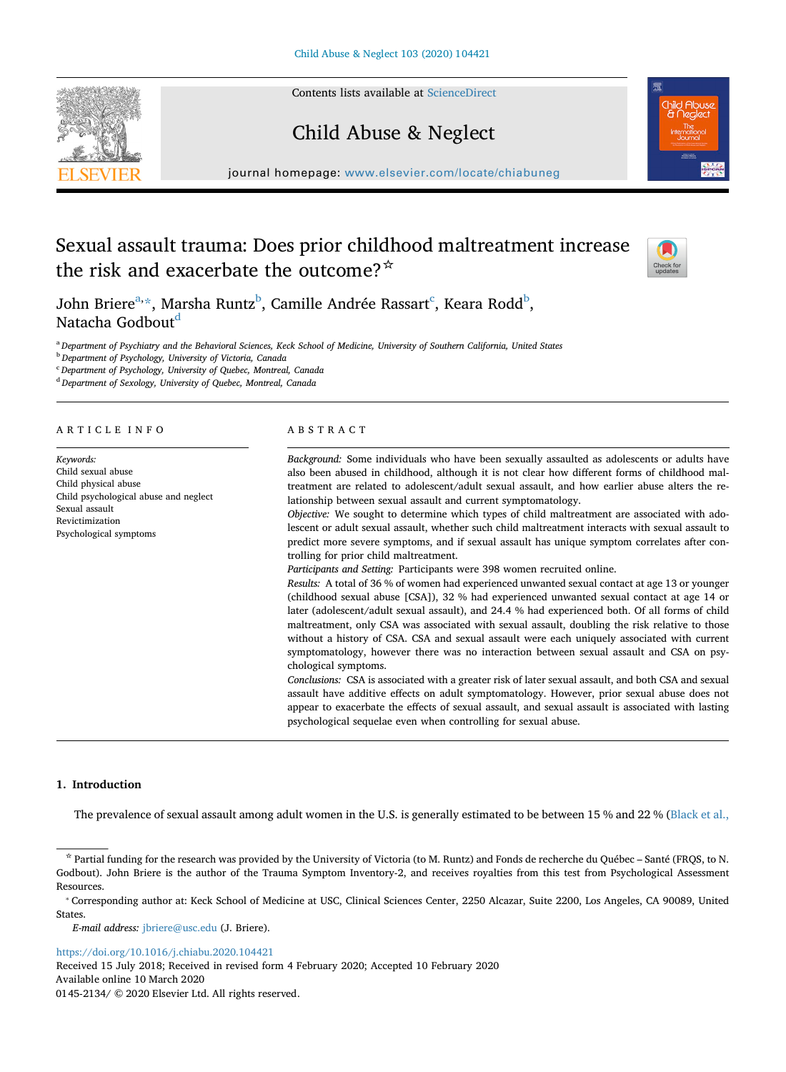Contents lists available at [ScienceDirect](http://www.sciencedirect.com/science/journal/01452134)



Child Abuse & Neglect

journal homepage: [www.elsevier.com/locate/chiabuneg](https://www.elsevier.com/locate/chiabuneg)

# Sexual assault trauma: Does prior childhood maltreatment increase the risk and exacerbate the outcome?☆



John Briere<sup>[a,](#page-0-0)</sup>[\\*](#page-0-1), Marsha Runtz<sup>[b](#page-0-2)</sup>, Camille Andrée Rassart<sup>[c](#page-0-3)</sup>, Keara Rodd<sup>b</sup>, Natacha Go[d](#page-0-4)bout<sup>d</sup>

<span id="page-0-0"></span><sup>a</sup> *Department of Psychiatry and the Behavioral Sciences, Keck School of Medicine, University of Southern California, United States*

<span id="page-0-2"></span><sup>b</sup> *Department of Psychology, University of Victoria, Canada*

<span id="page-0-3"></span><sup>c</sup> *Department of Psychology, University of Quebec, Montreal, Canada*

<span id="page-0-4"></span><sup>d</sup> *Department of Sexology, University of Quebec, Montreal, Canada*

# ARTICLE INFO

*Keywords:* Child sexual abuse Child physical abuse Child psychological abuse and neglect Sexual assault Revictimization Psychological symptoms

#### ABSTRACT

*Background:* Some individuals who have been sexually assaulted as adolescents or adults have also been abused in childhood, although it is not clear how different forms of childhood maltreatment are related to adolescent/adult sexual assault, and how earlier abuse alters the relationship between sexual assault and current symptomatology.

*Objective:* We sought to determine which types of child maltreatment are associated with adolescent or adult sexual assault, whether such child maltreatment interacts with sexual assault to predict more severe symptoms, and if sexual assault has unique symptom correlates after controlling for prior child maltreatment.

*Participants and Setting:* Participants were 398 women recruited online.

*Results:* A total of 36 % of women had experienced unwanted sexual contact at age 13 or younger (childhood sexual abuse [CSA]), 32 % had experienced unwanted sexual contact at age 14 or later (adolescent/adult sexual assault), and 24.4 % had experienced both. Of all forms of child maltreatment, only CSA was associated with sexual assault, doubling the risk relative to those without a history of CSA. CSA and sexual assault were each uniquely associated with current symptomatology, however there was no interaction between sexual assault and CSA on psychological symptoms.

*Conclusions:* CSA is associated with a greater risk of later sexual assault, and both CSA and sexual assault have additive effects on adult symptomatology. However, prior sexual abuse does not appear to exacerbate the effects of sexual assault, and sexual assault is associated with lasting psychological sequelae even when controlling for sexual abuse.

# **1. Introduction**

The prevalence of sexual assault among adult women in the U.S. is generally estimated to be between 15 % and 22 % ([Black et al.,](#page-7-0)

*E-mail address:* [jbriere@usc.edu](mailto:jbriere@usc.edu) (J. Briere).

<https://doi.org/10.1016/j.chiabu.2020.104421>

Received 15 July 2018; Received in revised form 4 February 2020; Accepted 10 February 2020 Available online 10 March 2020

0145-2134/ © 2020 Elsevier Ltd. All rights reserved.

<sup>☆</sup> Partial funding for the research was provided by the University of Victoria (to M. Runtz) and Fonds de recherche du Québec – Santé (FRQS, to N. Godbout). John Briere is the author of the Trauma Symptom Inventory-2, and receives royalties from this test from Psychological Assessment Resources.

<span id="page-0-1"></span><sup>⁎</sup> Corresponding author at: Keck School of Medicine at USC, Clinical Sciences Center, 2250 Alcazar, Suite 2200, Los Angeles, CA 90089, United States.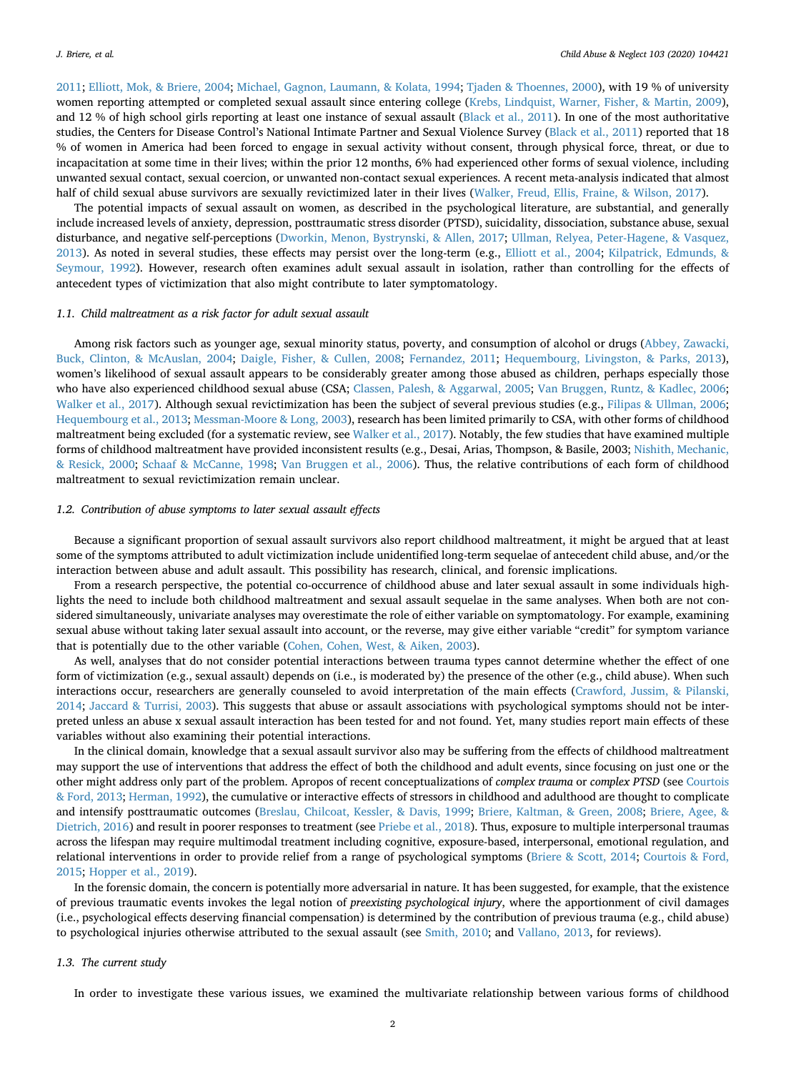[2011;](#page-7-0) [Elliott, Mok, & Briere, 2004;](#page-7-1) [Michael, Gagnon, Laumann, & Kolata, 1994;](#page-8-0) [Tjaden & Thoennes, 2000](#page-8-1)), with 19 % of university women reporting attempted or completed sexual assault since entering college [\(Krebs, Lindquist, Warner, Fisher, & Martin, 2009](#page-8-2)), and 12 % of high school girls reporting at least one instance of sexual assault [\(Black et al., 2011\)](#page-7-0). In one of the most authoritative studies, the Centers for Disease Control's National Intimate Partner and Sexual Violence Survey ([Black et al., 2011](#page-7-0)) reported that 18 % of women in America had been forced to engage in sexual activity without consent, through physical force, threat, or due to incapacitation at some time in their lives; within the prior 12 months, 6% had experienced other forms of sexual violence, including unwanted sexual contact, sexual coercion, or unwanted non-contact sexual experiences. A recent meta-analysis indicated that almost half of child sexual abuse survivors are sexually revictimized later in their lives ([Walker, Freud, Ellis, Fraine, & Wilson, 2017](#page-8-3)).

The potential impacts of sexual assault on women, as described in the psychological literature, are substantial, and generally include increased levels of anxiety, depression, posttraumatic stress disorder (PTSD), suicidality, dissociation, substance abuse, sexual disturbance, and negative self-perceptions [\(Dworkin, Menon, Bystrynski, & Allen, 2017;](#page-7-2) [Ullman, Relyea, Peter-Hagene, & Vasquez,](#page-8-4) [2013\)](#page-8-4). As noted in several studies, these effects may persist over the long-term (e.g., [Elliott et al., 2004](#page-7-1); [Kilpatrick, Edmunds, &](#page-8-5) [Seymour, 1992](#page-8-5)). However, research often examines adult sexual assault in isolation, rather than controlling for the effects of antecedent types of victimization that also might contribute to later symptomatology.

# *1.1. Child maltreatment as a risk factor for adult sexual assault*

Among risk factors such as younger age, sexual minority status, poverty, and consumption of alcohol or drugs ([Abbey, Zawacki,](#page-7-3) [Buck, Clinton, & McAuslan, 2004](#page-7-3); [Daigle, Fisher, & Cullen, 2008;](#page-7-4) [Fernandez, 2011;](#page-8-6) [Hequembourg, Livingston, & Parks, 2013](#page-8-7)), women's likelihood of sexual assault appears to be considerably greater among those abused as children, perhaps especially those who have also experienced childhood sexual abuse (CSA; [Classen, Palesh, & Aggarwal, 2005;](#page-7-5) [Van Bruggen, Runtz, & Kadlec, 2006](#page-8-8); [Walker et al., 2017\)](#page-8-3). Although sexual revictimization has been the subject of several previous studies (e.g., [Filipas & Ullman, 2006](#page-8-9); [Hequembourg et al., 2013](#page-8-7); [Messman-Moore & Long, 2003\)](#page-8-10), research has been limited primarily to CSA, with other forms of childhood maltreatment being excluded (for a systematic review, see [Walker et al., 2017](#page-8-3)). Notably, the few studies that have examined multiple forms of childhood maltreatment have provided inconsistent results (e.g., Desai, Arias, Thompson, & Basile, 2003; [Nishith, Mechanic,](#page-8-11) [& Resick, 2000;](#page-8-11) [Schaaf & McCanne, 1998;](#page-8-12) [Van Bruggen et al., 2006\)](#page-8-8). Thus, the relative contributions of each form of childhood maltreatment to sexual revictimization remain unclear.

#### *1.2. Contribution of abuse symptoms to later sexual assault effects*

Because a significant proportion of sexual assault survivors also report childhood maltreatment, it might be argued that at least some of the symptoms attributed to adult victimization include unidentified long-term sequelae of antecedent child abuse, and/or the interaction between abuse and adult assault. This possibility has research, clinical, and forensic implications.

From a research perspective, the potential co-occurrence of childhood abuse and later sexual assault in some individuals highlights the need to include both childhood maltreatment and sexual assault sequelae in the same analyses. When both are not considered simultaneously, univariate analyses may overestimate the role of either variable on symptomatology. For example, examining sexual abuse without taking later sexual assault into account, or the reverse, may give either variable "credit" for symptom variance that is potentially due to the other variable [\(Cohen, Cohen, West, & Aiken, 2003](#page-7-6)).

As well, analyses that do not consider potential interactions between trauma types cannot determine whether the effect of one form of victimization (e.g., sexual assault) depends on (i.e., is moderated by) the presence of the other (e.g., child abuse). When such interactions occur, researchers are generally counseled to avoid interpretation of the main effects ([Crawford, Jussim, & Pilanski,](#page-7-7) [2014;](#page-7-7) [Jaccard & Turrisi, 2003\)](#page-8-13). This suggests that abuse or assault associations with psychological symptoms should not be interpreted unless an abuse x sexual assault interaction has been tested for and not found. Yet, many studies report main effects of these variables without also examining their potential interactions.

In the clinical domain, knowledge that a sexual assault survivor also may be suffering from the effects of childhood maltreatment may support the use of interventions that address the effect of both the childhood and adult events, since focusing on just one or the other might address only part of the problem. Apropos of recent conceptualizations of *complex trauma* or *complex PTSD* (see [Courtois](#page-7-8) [& Ford, 2013;](#page-7-8) [Herman, 1992\)](#page-8-14), the cumulative or interactive effects of stressors in childhood and adulthood are thought to complicate and intensify posttraumatic outcomes ([Breslau, Chilcoat, Kessler, & Davis, 1999](#page-7-9); [Briere, Kaltman, & Green, 2008](#page-7-10); [Briere, Agee, &](#page-7-11) [Dietrich, 2016\)](#page-7-11) and result in poorer responses to treatment (see [Priebe et al., 2018\)](#page-8-15). Thus, exposure to multiple interpersonal traumas across the lifespan may require multimodal treatment including cognitive, exposure-based, interpersonal, emotional regulation, and relational interventions in order to provide relief from a range of psychological symptoms ([Briere & Scott, 2014;](#page-7-12) [Courtois & Ford,](#page-7-13) [2015;](#page-7-13) [Hopper et al., 2019](#page-8-16)).

In the forensic domain, the concern is potentially more adversarial in nature. It has been suggested, for example, that the existence of previous traumatic events invokes the legal notion of *preexisting psychological injury*, where the apportionment of civil damages (i.e., psychological effects deserving financial compensation) is determined by the contribution of previous trauma (e.g., child abuse) to psychological injuries otherwise attributed to the sexual assault (see [Smith, 2010](#page-8-17); and [Vallano, 2013,](#page-8-18) for reviews).

#### *1.3. The current study*

In order to investigate these various issues, we examined the multivariate relationship between various forms of childhood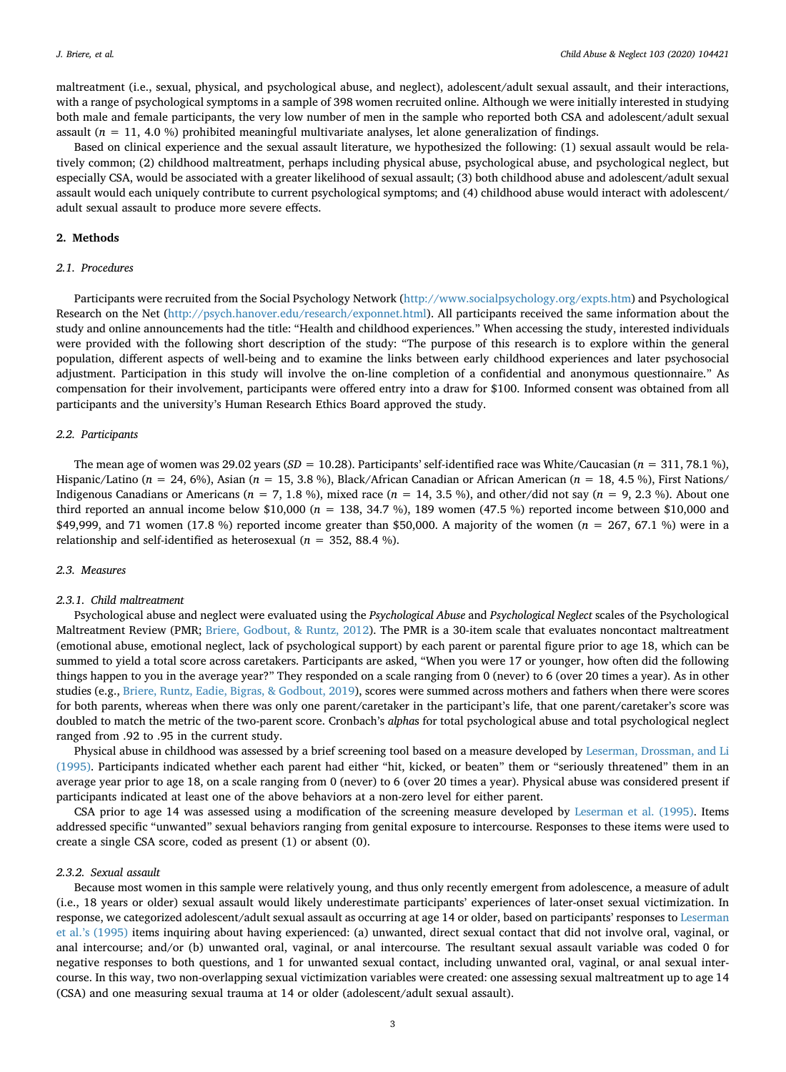maltreatment (i.e., sexual, physical, and psychological abuse, and neglect), adolescent/adult sexual assault, and their interactions, with a range of psychological symptoms in a sample of 398 women recruited online. Although we were initially interested in studying both male and female participants, the very low number of men in the sample who reported both CSA and adolescent/adult sexual assault (*n* = 11, 4.0 %) prohibited meaningful multivariate analyses, let alone generalization of findings.

Based on clinical experience and the sexual assault literature, we hypothesized the following: (1) sexual assault would be relatively common; (2) childhood maltreatment, perhaps including physical abuse, psychological abuse, and psychological neglect, but especially CSA, would be associated with a greater likelihood of sexual assault; (3) both childhood abuse and adolescent/adult sexual assault would each uniquely contribute to current psychological symptoms; and (4) childhood abuse would interact with adolescent/ adult sexual assault to produce more severe effects.

#### **2. Methods**

# *2.1. Procedures*

Participants were recruited from the Social Psychology Network (<http://www.socialpsychology.org/expts.htm>) and Psychological Research on the Net [\(http://psych.hanover.edu/research/exponnet.html\)](http://psych.hanover.edu/research/exponnet.html). All participants received the same information about the study and online announcements had the title: "Health and childhood experiences." When accessing the study, interested individuals were provided with the following short description of the study: "The purpose of this research is to explore within the general population, different aspects of well-being and to examine the links between early childhood experiences and later psychosocial adjustment. Participation in this study will involve the on-line completion of a confidential and anonymous questionnaire." As compensation for their involvement, participants were offered entry into a draw for \$100. Informed consent was obtained from all participants and the university's Human Research Ethics Board approved the study.

#### *2.2. Participants*

The mean age of women was 29.02 years (*SD* = 10.28). Participants' self-identified race was White/Caucasian (*n* = 311, 78.1 %), Hispanic/Latino (*n* = 24, 6%), Asian (*n* = 15, 3.8 %), Black/African Canadian or African American (*n* = 18, 4.5 %), First Nations/ Indigenous Canadians or Americans ( $n = 7, 1.8$ %), mixed race ( $n = 14, 3.5$ %), and other/did not say ( $n = 9, 2.3$ %). About one third reported an annual income below \$10,000 (*n* = 138, 34.7 %), 189 women (47.5 %) reported income between \$10,000 and \$49,999, and 71 women (17.8 %) reported income greater than \$50,000. A majority of the women (*n* = 267, 67.1 %) were in a relationship and self-identified as heterosexual ( $n = 352, 88.4$ %).

#### *2.3. Measures*

#### *2.3.1. Child maltreatment*

Psychological abuse and neglect were evaluated using the *Psychological Abuse* and *Psychological Neglect* scales of the Psychological Maltreatment Review (PMR; [Briere, Godbout, & Runtz, 2012\)](#page-7-14). The PMR is a 30-item scale that evaluates noncontact maltreatment (emotional abuse, emotional neglect, lack of psychological support) by each parent or parental figure prior to age 18, which can be summed to yield a total score across caretakers. Participants are asked, "When you were 17 or younger, how often did the following things happen to you in the average year?" They responded on a scale ranging from 0 (never) to 6 (over 20 times a year). As in other studies (e.g., [Briere, Runtz, Eadie, Bigras, & Godbout, 2019\)](#page-7-15), scores were summed across mothers and fathers when there were scores for both parents, whereas when there was only one parent/caretaker in the participant's life, that one parent/caretaker's score was doubled to match the metric of the two-parent score. Cronbach's *alpha*s for total psychological abuse and total psychological neglect ranged from .92 to .95 in the current study.

Physical abuse in childhood was assessed by a brief screening tool based on a measure developed by [Leserman, Drossman, and Li](#page-8-19) [\(1995\).](#page-8-19) Participants indicated whether each parent had either "hit, kicked, or beaten" them or "seriously threatened" them in an average year prior to age 18, on a scale ranging from 0 (never) to 6 (over 20 times a year). Physical abuse was considered present if participants indicated at least one of the above behaviors at a non-zero level for either parent.

CSA prior to age 14 was assessed using a modification of the screening measure developed by [Leserman et al. \(1995\).](#page-8-19) Items addressed specific "unwanted" sexual behaviors ranging from genital exposure to intercourse. Responses to these items were used to create a single CSA score, coded as present (1) or absent (0).

# *2.3.2. Sexual assault*

Because most women in this sample were relatively young, and thus only recently emergent from adolescence, a measure of adult (i.e., 18 years or older) sexual assault would likely underestimate participants' experiences of later-onset sexual victimization. In response, we categorized adolescent/adult sexual assault as occurring at age 14 or older, based on participants' responses to [Leserman](#page-8-19) [et al.'s \(1995\)](#page-8-19) items inquiring about having experienced: (a) unwanted, direct sexual contact that did not involve oral, vaginal, or anal intercourse; and/or (b) unwanted oral, vaginal, or anal intercourse. The resultant sexual assault variable was coded 0 for negative responses to both questions, and 1 for unwanted sexual contact, including unwanted oral, vaginal, or anal sexual intercourse. In this way, two non-overlapping sexual victimization variables were created: one assessing sexual maltreatment up to age 14 (CSA) and one measuring sexual trauma at 14 or older (adolescent/adult sexual assault).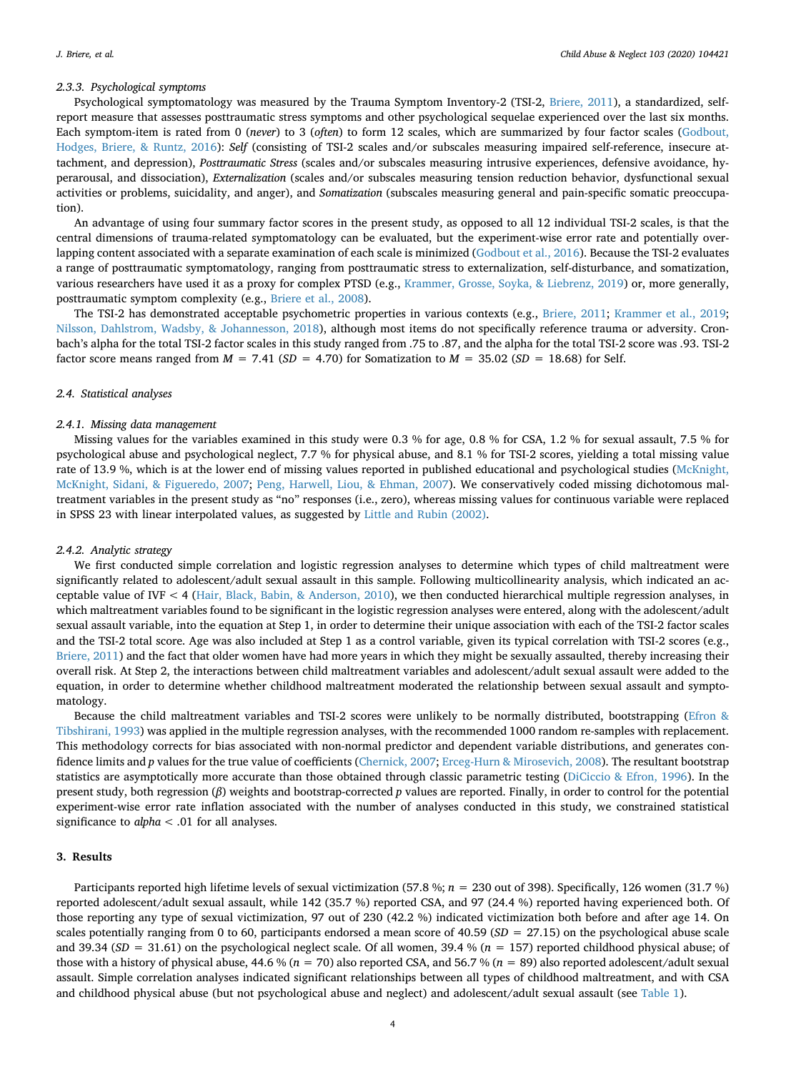# *2.3.3. Psychological symptoms*

Psychological symptomatology was measured by the Trauma Symptom Inventory-2 (TSI-2, [Briere, 2011](#page-7-16)), a standardized, selfreport measure that assesses posttraumatic stress symptoms and other psychological sequelae experienced over the last six months. Each symptom-item is rated from 0 (*never*) to 3 (*often*) to form 12 scales, which are summarized by four factor scales ([Godbout,](#page-8-20) [Hodges, Briere, & Runtz, 2016](#page-8-20)): *Self* (consisting of TSI-2 scales and/or subscales measuring impaired self-reference, insecure attachment, and depression), *Posttraumatic Stress* (scales and/or subscales measuring intrusive experiences, defensive avoidance, hyperarousal, and dissociation), *Externalization* (scales and/or subscales measuring tension reduction behavior, dysfunctional sexual activities or problems, suicidality, and anger), and *Somatization* (subscales measuring general and pain-specific somatic preoccupation).

An advantage of using four summary factor scores in the present study, as opposed to all 12 individual TSI-2 scales, is that the central dimensions of trauma-related symptomatology can be evaluated, but the experiment-wise error rate and potentially over-lapping content associated with a separate examination of each scale is minimized [\(Godbout et al., 2016\)](#page-8-20). Because the TSI-2 evaluates a range of posttraumatic symptomatology, ranging from posttraumatic stress to externalization, self-disturbance, and somatization, various researchers have used it as a proxy for complex PTSD (e.g., [Krammer, Grosse, Soyka, & Liebrenz, 2019](#page-8-21)) or, more generally, posttraumatic symptom complexity (e.g., [Briere et al., 2008](#page-7-10)).

The TSI-2 has demonstrated acceptable psychometric properties in various contexts (e.g., [Briere, 2011](#page-7-16); [Krammer et al., 2019](#page-8-21); [Nilsson, Dahlstrom, Wadsby, & Johannesson, 2018](#page-8-22)), although most items do not specifically reference trauma or adversity. Cronbach's alpha for the total TSI-2 factor scales in this study ranged from .75 to .87, and the alpha for the total TSI-2 score was .93. TSI-2 factor score means ranged from  $M = 7.41$  ( $SD = 4.70$ ) for Somatization to  $M = 35.02$  ( $SD = 18.68$ ) for Self.

#### *2.4. Statistical analyses*

### *2.4.1. Missing data management*

Missing values for the variables examined in this study were 0.3 % for age, 0.8 % for CSA, 1.2 % for sexual assault, 7.5 % for psychological abuse and psychological neglect, 7.7 % for physical abuse, and 8.1 % for TSI-2 scores, yielding a total missing value rate of 13.9 %, which is at the lower end of missing values reported in published educational and psychological studies ([McKnight,](#page-8-23) [McKnight, Sidani, & Figueredo, 2007;](#page-8-23) [Peng, Harwell, Liou, & Ehman, 2007\)](#page-8-24). We conservatively coded missing dichotomous maltreatment variables in the present study as "no" responses (i.e., zero), whereas missing values for continuous variable were replaced in SPSS 23 with linear interpolated values, as suggested by [Little and Rubin \(2002\).](#page-8-25)

### *2.4.2. Analytic strategy*

We first conducted simple correlation and logistic regression analyses to determine which types of child maltreatment were significantly related to adolescent/adult sexual assault in this sample. Following multicollinearity analysis, which indicated an acceptable value of IVF < 4 [\(Hair, Black, Babin, & Anderson, 2010](#page-8-26)), we then conducted hierarchical multiple regression analyses, in which maltreatment variables found to be significant in the logistic regression analyses were entered, along with the adolescent/adult sexual assault variable, into the equation at Step 1, in order to determine their unique association with each of the TSI-2 factor scales and the TSI-2 total score. Age was also included at Step 1 as a control variable, given its typical correlation with TSI-2 scores (e.g., [Briere, 2011\)](#page-7-16) and the fact that older women have had more years in which they might be sexually assaulted, thereby increasing their overall risk. At Step 2, the interactions between child maltreatment variables and adolescent/adult sexual assault were added to the equation, in order to determine whether childhood maltreatment moderated the relationship between sexual assault and symptomatology.

Because the child maltreatment variables and TSI-2 scores were unlikely to be normally distributed, bootstrapping [\(Efron &](#page-7-17) [Tibshirani, 1993\)](#page-7-17) was applied in the multiple regression analyses, with the recommended 1000 random re-samples with replacement. This methodology corrects for bias associated with non-normal predictor and dependent variable distributions, and generates confidence limits and *p* values for the true value of coefficients ([Chernick, 2007](#page-7-18); [Erceg-Hurn & Mirosevich, 2008\)](#page-8-27). The resultant bootstrap statistics are asymptotically more accurate than those obtained through classic parametric testing ([DiCiccio & Efron, 1996](#page-7-19)). In the present study, both regression (*β*) weights and bootstrap-corrected *p* values are reported. Finally, in order to control for the potential experiment-wise error rate inflation associated with the number of analyses conducted in this study, we constrained statistical significance to *alpha* < .01 for all analyses.

# **3. Results**

Participants reported high lifetime levels of sexual victimization (57.8 %; *n* = 230 out of 398). Specifically, 126 women (31.7 %) reported adolescent/adult sexual assault, while 142 (35.7 %) reported CSA, and 97 (24.4 %) reported having experienced both. Of those reporting any type of sexual victimization, 97 out of 230 (42.2 %) indicated victimization both before and after age 14. On scales potentially ranging from 0 to 60, participants endorsed a mean score of  $40.59$  ( $SD = 27.15$ ) on the psychological abuse scale and 39.34 (*SD* = 31.61) on the psychological neglect scale. Of all women, 39.4 % (*n* = 157) reported childhood physical abuse; of those with a history of physical abuse, 44.6 % (*n* = 70) also reported CSA, and 56.7 % (*n* = 89) also reported adolescent/adult sexual assault. Simple correlation analyses indicated significant relationships between all types of childhood maltreatment, and with CSA and childhood physical abuse (but not psychological abuse and neglect) and adolescent/adult sexual assault (see [Table 1](#page-4-0)).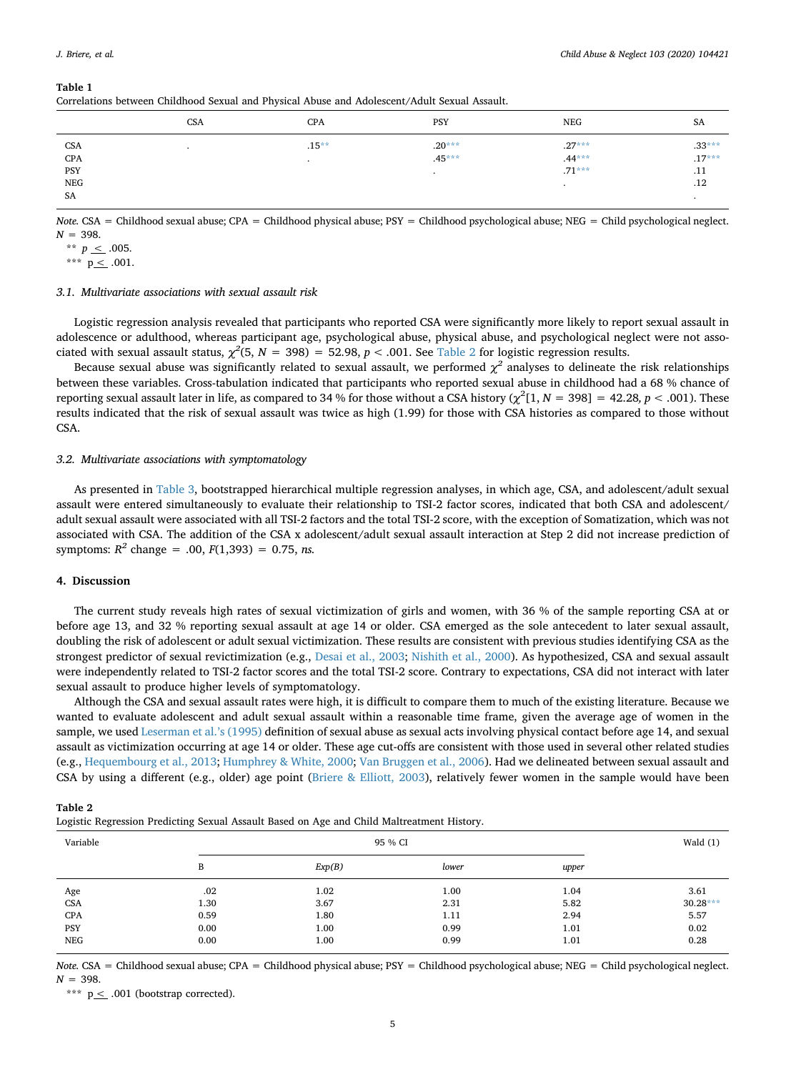# <span id="page-4-0"></span>**Table 1**

| Correlations between Childhood Sexual and Physical Abuse and Adolescent/Adult Sexual Assault. |  |
|-----------------------------------------------------------------------------------------------|--|
|-----------------------------------------------------------------------------------------------|--|

|                                                | <b>CSA</b> | <b>CPA</b> | PSY                  | NEG                              | SA                                 |
|------------------------------------------------|------------|------------|----------------------|----------------------------------|------------------------------------|
| <b>CSA</b><br>CPA<br>PSY<br>$_{\rm NEG}$<br>SA |            | $.15***$   | $.20***$<br>$.45***$ | $.27***$<br>$.44***$<br>$.71***$ | $.33***$<br>$.17***$<br>.11<br>.12 |

*Note.* CSA = Childhood sexual abuse; CPA = Childhood physical abuse; PSY = Childhood psychological abuse; NEG = Child psychological neglect. *N* = 398.

<span id="page-4-2"></span>\*\*  $p \leq .005$ .

<span id="page-4-3"></span>\*\*\*  $p \le .001$ .

# *3.1. Multivariate associations with sexual assault risk*

Logistic regression analysis revealed that participants who reported CSA were significantly more likely to report sexual assault in adolescence or adulthood, whereas participant age, psychological abuse, physical abuse, and psychological neglect were not associated with sexual assault status,  $\chi^2(5, N = 398) = 52.98, p < .001$ . See [Table 2](#page-4-1) for logistic regression results.

Because sexual abuse was significantly related to sexual assault, we performed  $\chi^2$  analyses to delineate the risk relationships between these variables. Cross-tabulation indicated that participants who reported sexual abuse in childhood had a 68 % chance of reporting sexual assault later in life, as compared to 34 % for those without a CSA history  $(\chi^2[1, N = 398] = 42.28, p < .001)$ . These results indicated that the risk of sexual assault was twice as high (1.99) for those with CSA histories as compared to those without CSA.

#### *3.2. Multivariate associations with symptomatology*

As presented in [Table 3,](#page-5-0) bootstrapped hierarchical multiple regression analyses, in which age, CSA, and adolescent/adult sexual assault were entered simultaneously to evaluate their relationship to TSI-2 factor scores, indicated that both CSA and adolescent/ adult sexual assault were associated with all TSI-2 factors and the total TSI-2 score, with the exception of Somatization, which was not associated with CSA. The addition of the CSA x adolescent/adult sexual assault interaction at Step 2 did not increase prediction of symptoms:  $R^2$  change = .00,  $F(1,393) = 0.75$ , *ns.* 

### **4. Discussion**

The current study reveals high rates of sexual victimization of girls and women, with 36 % of the sample reporting CSA at or before age 13, and 32 % reporting sexual assault at age 14 or older. CSA emerged as the sole antecedent to later sexual assault, doubling the risk of adolescent or adult sexual victimization. These results are consistent with previous studies identifying CSA as the strongest predictor of sexual revictimization (e.g., [Desai et al., 2003;](#page-7-20) [Nishith et al., 2000\)](#page-8-11). As hypothesized, CSA and sexual assault were independently related to TSI-2 factor scores and the total TSI-2 score. Contrary to expectations, CSA did not interact with later sexual assault to produce higher levels of symptomatology.

Although the CSA and sexual assault rates were high, it is difficult to compare them to much of the existing literature. Because we wanted to evaluate adolescent and adult sexual assault within a reasonable time frame, given the average age of women in the sample, we used [Leserman et al.'s \(1995\)](#page-8-19) definition of sexual abuse as sexual acts involving physical contact before age 14, and sexual assault as victimization occurring at age 14 or older. These age cut-offs are consistent with those used in several other related studies (e.g., [Hequembourg et al., 2013](#page-8-7); [Humphrey & White, 2000;](#page-8-28) [Van Bruggen et al., 2006\)](#page-8-8). Had we delineated between sexual assault and CSA by using a different (e.g., older) age point [\(Briere & Elliott, 2003](#page-7-21)), relatively fewer women in the sample would have been

<span id="page-4-1"></span>**Table 2**

|  |  |  |  | Logistic Regression Predicting Sexual Assault Based on Age and Child Maltreatment History. |  |
|--|--|--|--|--------------------------------------------------------------------------------------------|--|
|  |  |  |  |                                                                                            |  |

| $\sim$<br>$\overline{\phantom{a}}$<br>$\tilde{\phantom{a}}$ |      | $\tilde{ }$<br>95 % CI |            |       |            |
|-------------------------------------------------------------|------|------------------------|------------|-------|------------|
| Variable                                                    |      |                        | Wald $(1)$ |       |            |
|                                                             | B    | Exp(B)                 | lower      | upper |            |
| Age                                                         | .02  | 1.02                   | 1.00       | 1.04  | 3.61       |
| <b>CSA</b>                                                  | 1.30 | 3.67                   | 2.31       | 5.82  | $30.28***$ |
| <b>CPA</b>                                                  | 0.59 | 1.80                   | 1.11       | 2.94  | 5.57       |
| PSY                                                         | 0.00 | 1.00                   | 0.99       | 1.01  | 0.02       |
| <b>NEG</b>                                                  | 0.00 | 1.00                   | 0.99       | 1.01  | 0.28       |

*Note.* CSA = Childhood sexual abuse; CPA = Childhood physical abuse; PSY = Childhood psychological abuse; NEG = Child psychological neglect. *N* = 398.

<span id="page-4-4"></span>\*\*\*  $p \leq .001$  (bootstrap corrected).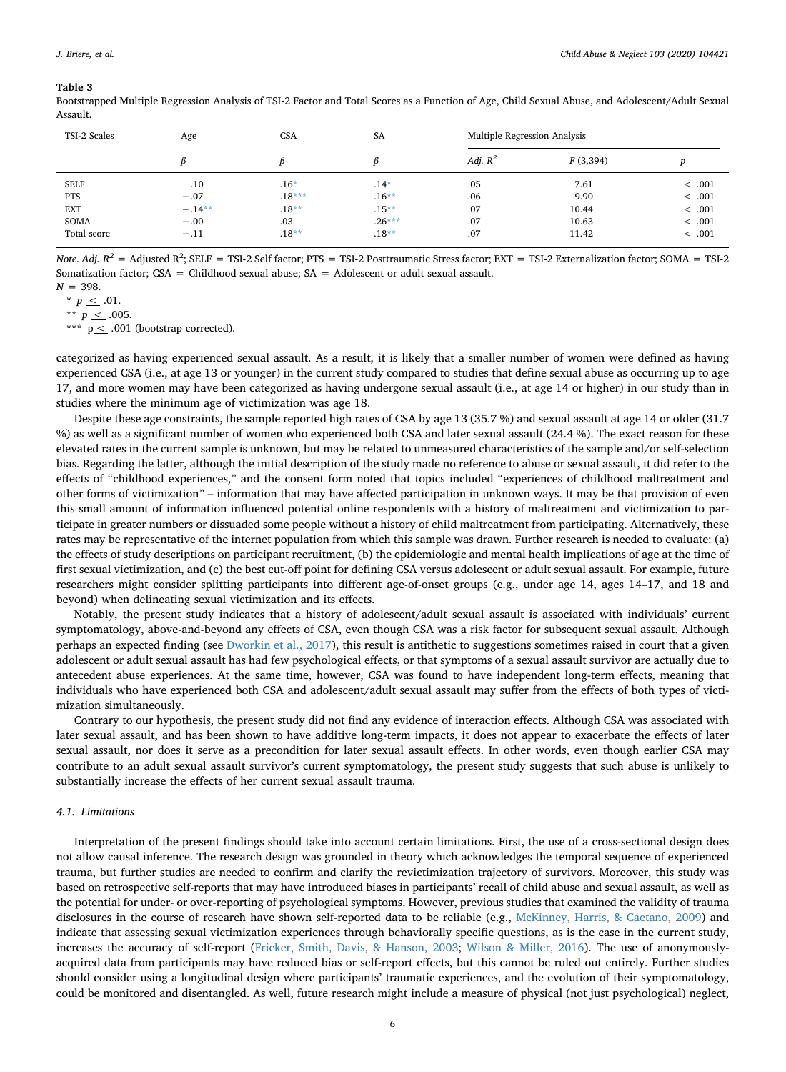#### <span id="page-5-0"></span>**Table 3**

Bootstrapped Multiple Regression Analysis of TSI-2 Factor and Total Scores as a Function of Age, Child Sexual Abuse, and Adolescent/Adult Sexual Assault.

| TSI-2 Scales | Age       | <b>CSA</b> | SA       | Multiple Regression Analysis |          |        |
|--------------|-----------|------------|----------|------------------------------|----------|--------|
|              |           |            |          | Adj. $R^2$                   | F(3,394) | D      |
| <b>SELF</b>  | .10       | $.16*$     | $.14*$   | .05                          | 7.61     | < .001 |
| <b>PTS</b>   | $-.07$    | $.18***$   | $.16***$ | .06                          | 9.90     | < .001 |
| <b>EXT</b>   | $-.14***$ | $.18***$   | $.15***$ | .07                          | 10.44    | < .001 |
| <b>SOMA</b>  | $-.00$    | .03        | $.26***$ | .07                          | 10.63    | < .001 |
| Total score  | $-.11$    | $.18***$   | $.18***$ | .07                          | 11.42    | < .001 |

*Note. Adj.*  $R^2$  = Adjusted  $R^2$ ; SELF = TSI-2 Self factor; PTS = TSI-2 Posttraumatic Stress factor; EXT = TSI-2 Externalization factor; SOMA = TSI-2 Somatization factor; CSA = Childhood sexual abuse; SA = Adolescent or adult sexual assault.

$$
N = 398.
$$

<span id="page-5-3"></span><span id="page-5-1"></span> $*$   $p \leq .01$ . \*\*  $p \le .005$ .

<span id="page-5-2"></span>\*\*\* p < .001 (bootstrap corrected).

categorized as having experienced sexual assault. As a result, it is likely that a smaller number of women were defined as having experienced CSA (i.e., at age 13 or younger) in the current study compared to studies that define sexual abuse as occurring up to age 17, and more women may have been categorized as having undergone sexual assault (i.e., at age 14 or higher) in our study than in studies where the minimum age of victimization was age 18.

Despite these age constraints, the sample reported high rates of CSA by age 13 (35.7 %) and sexual assault at age 14 or older (31.7 %) as well as a significant number of women who experienced both CSA and later sexual assault (24.4 %). The exact reason for these elevated rates in the current sample is unknown, but may be related to unmeasured characteristics of the sample and/or self-selection bias. Regarding the latter, although the initial description of the study made no reference to abuse or sexual assault, it did refer to the effects of "childhood experiences," and the consent form noted that topics included "experiences of childhood maltreatment and other forms of victimization" – information that may have affected participation in unknown ways. It may be that provision of even this small amount of information influenced potential online respondents with a history of maltreatment and victimization to participate in greater numbers or dissuaded some people without a history of child maltreatment from participating. Alternatively, these rates may be representative of the internet population from which this sample was drawn. Further research is needed to evaluate: (a) the effects of study descriptions on participant recruitment, (b) the epidemiologic and mental health implications of age at the time of first sexual victimization, and (c) the best cut-off point for defining CSA versus adolescent or adult sexual assault. For example, future researchers might consider splitting participants into different age-of-onset groups (e.g., under age 14, ages 14–17, and 18 and beyond) when delineating sexual victimization and its effects.

Notably, the present study indicates that a history of adolescent/adult sexual assault is associated with individuals' current symptomatology, above-and-beyond any effects of CSA, even though CSA was a risk factor for subsequent sexual assault. Although perhaps an expected finding (see [Dworkin et al., 2017\)](#page-7-2), this result is antithetic to suggestions sometimes raised in court that a given adolescent or adult sexual assault has had few psychological effects, or that symptoms of a sexual assault survivor are actually due to antecedent abuse experiences. At the same time, however, CSA was found to have independent long-term effects, meaning that individuals who have experienced both CSA and adolescent/adult sexual assault may suffer from the effects of both types of victimization simultaneously.

Contrary to our hypothesis, the present study did not find any evidence of interaction effects. Although CSA was associated with later sexual assault, and has been shown to have additive long-term impacts, it does not appear to exacerbate the effects of later sexual assault, nor does it serve as a precondition for later sexual assault effects. In other words, even though earlier CSA may contribute to an adult sexual assault survivor's current symptomatology, the present study suggests that such abuse is unlikely to substantially increase the effects of her current sexual assault trauma.

# *4.1. Limitations*

Interpretation of the present findings should take into account certain limitations. First, the use of a cross-sectional design does not allow causal inference. The research design was grounded in theory which acknowledges the temporal sequence of experienced trauma, but further studies are needed to confirm and clarify the revictimization trajectory of survivors. Moreover, this study was based on retrospective self-reports that may have introduced biases in participants' recall of child abuse and sexual assault, as well as the potential for under- or over-reporting of psychological symptoms. However, previous studies that examined the validity of trauma disclosures in the course of research have shown self-reported data to be reliable (e.g., [McKinney, Harris, & Caetano, 2009](#page-8-29)) and indicate that assessing sexual victimization experiences through behaviorally specific questions, as is the case in the current study, increases the accuracy of self-report ([Fricker, Smith, Davis, & Hanson, 2003;](#page-8-30) [Wilson & Miller, 2016\)](#page-8-31). The use of anonymouslyacquired data from participants may have reduced bias or self-report effects, but this cannot be ruled out entirely. Further studies should consider using a longitudinal design where participants' traumatic experiences, and the evolution of their symptomatology, could be monitored and disentangled. As well, future research might include a measure of physical (not just psychological) neglect,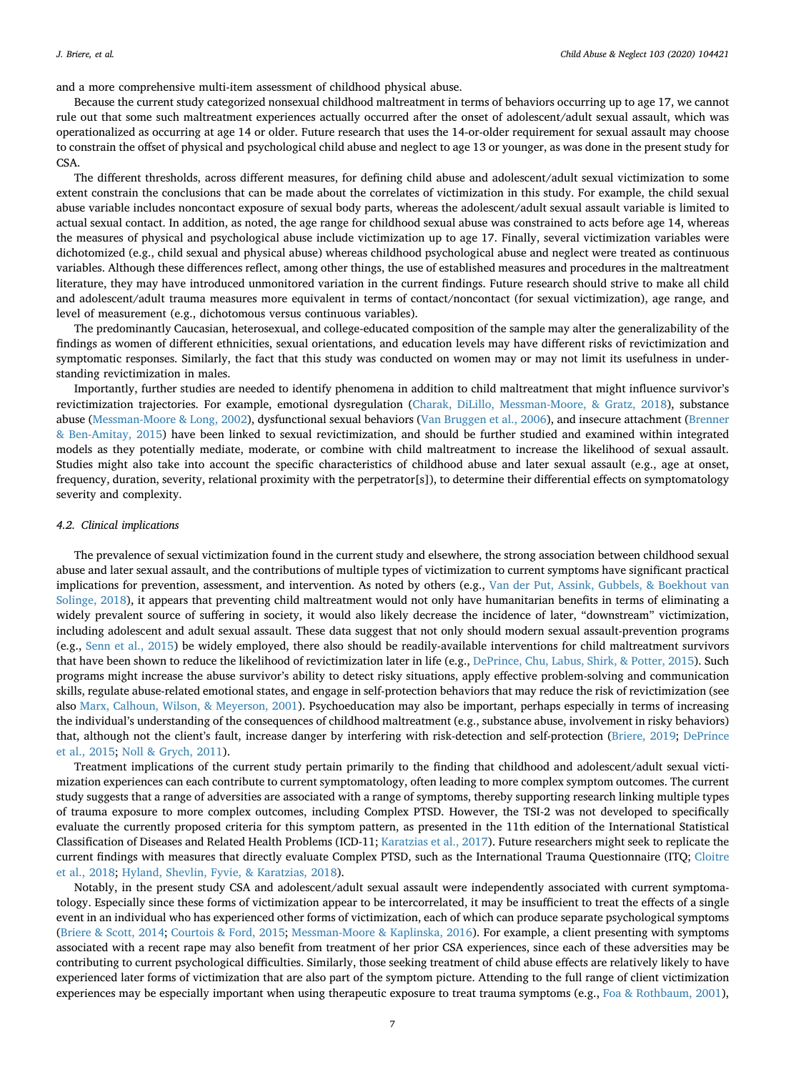and a more comprehensive multi-item assessment of childhood physical abuse.

Because the current study categorized nonsexual childhood maltreatment in terms of behaviors occurring up to age 17, we cannot rule out that some such maltreatment experiences actually occurred after the onset of adolescent/adult sexual assault, which was operationalized as occurring at age 14 or older. Future research that uses the 14-or-older requirement for sexual assault may choose to constrain the offset of physical and psychological child abuse and neglect to age 13 or younger, as was done in the present study for C<sub>SA</sub>

The different thresholds, across different measures, for defining child abuse and adolescent/adult sexual victimization to some extent constrain the conclusions that can be made about the correlates of victimization in this study. For example, the child sexual abuse variable includes noncontact exposure of sexual body parts, whereas the adolescent/adult sexual assault variable is limited to actual sexual contact. In addition, as noted, the age range for childhood sexual abuse was constrained to acts before age 14, whereas the measures of physical and psychological abuse include victimization up to age 17. Finally, several victimization variables were dichotomized (e.g., child sexual and physical abuse) whereas childhood psychological abuse and neglect were treated as continuous variables. Although these differences reflect, among other things, the use of established measures and procedures in the maltreatment literature, they may have introduced unmonitored variation in the current findings. Future research should strive to make all child and adolescent/adult trauma measures more equivalent in terms of contact/noncontact (for sexual victimization), age range, and level of measurement (e.g., dichotomous versus continuous variables).

The predominantly Caucasian, heterosexual, and college-educated composition of the sample may alter the generalizability of the findings as women of different ethnicities, sexual orientations, and education levels may have different risks of revictimization and symptomatic responses. Similarly, the fact that this study was conducted on women may or may not limit its usefulness in understanding revictimization in males.

Importantly, further studies are needed to identify phenomena in addition to child maltreatment that might influence survivor's revictimization trajectories. For example, emotional dysregulation ([Charak, DiLillo, Messman-Moore, & Gratz, 2018](#page-7-22)), substance abuse [\(Messman-Moore & Long, 2002](#page-8-32)), dysfunctional sexual behaviors ([Van Bruggen et al., 2006\)](#page-8-8), and insecure attachment [\(Brenner](#page-7-23) [& Ben-Amitay, 2015](#page-7-23)) have been linked to sexual revictimization, and should be further studied and examined within integrated models as they potentially mediate, moderate, or combine with child maltreatment to increase the likelihood of sexual assault. Studies might also take into account the specific characteristics of childhood abuse and later sexual assault (e.g., age at onset, frequency, duration, severity, relational proximity with the perpetrator[s]), to determine their differential effects on symptomatology severity and complexity.

# *4.2. Clinical implications*

The prevalence of sexual victimization found in the current study and elsewhere, the strong association between childhood sexual abuse and later sexual assault, and the contributions of multiple types of victimization to current symptoms have significant practical implications for prevention, assessment, and intervention. As noted by others (e.g., [Van der Put, Assink, Gubbels, & Boekhout van](#page-8-33) [Solinge, 2018\)](#page-8-33), it appears that preventing child maltreatment would not only have humanitarian benefits in terms of eliminating a widely prevalent source of suffering in society, it would also likely decrease the incidence of later, "downstream" victimization, including adolescent and adult sexual assault. These data suggest that not only should modern sexual assault-prevention programs (e.g., [Senn et al., 2015](#page-8-34)) be widely employed, there also should be readily-available interventions for child maltreatment survivors that have been shown to reduce the likelihood of revictimization later in life (e.g., [DePrince, Chu, Labus, Shirk, & Potter, 2015\)](#page-7-24). Such programs might increase the abuse survivor's ability to detect risky situations, apply effective problem-solving and communication skills, regulate abuse-related emotional states, and engage in self-protection behaviors that may reduce the risk of revictimization (see also [Marx, Calhoun, Wilson, & Meyerson, 2001](#page-8-35)). Psychoeducation may also be important, perhaps especially in terms of increasing the individual's understanding of the consequences of childhood maltreatment (e.g., substance abuse, involvement in risky behaviors) that, although not the client's fault, increase danger by interfering with risk-detection and self-protection ([Briere, 2019](#page-7-25); [DePrince](#page-7-24) [et al., 2015;](#page-7-24) [Noll & Grych, 2011](#page-8-36)).

Treatment implications of the current study pertain primarily to the finding that childhood and adolescent/adult sexual victimization experiences can each contribute to current symptomatology, often leading to more complex symptom outcomes. The current study suggests that a range of adversities are associated with a range of symptoms, thereby supporting research linking multiple types of trauma exposure to more complex outcomes, including Complex PTSD. However, the TSI-2 was not developed to specifically evaluate the currently proposed criteria for this symptom pattern, as presented in the 11th edition of the International Statistical Classification of Diseases and Related Health Problems (ICD-11; [Karatzias et al., 2017](#page-8-37)). Future researchers might seek to replicate the current findings with measures that directly evaluate Complex PTSD, such as the International Trauma Questionnaire (ITQ; [Cloitre](#page-7-26) [et al., 2018;](#page-7-26) [Hyland, Shevlin, Fyvie, & Karatzias, 2018\)](#page-8-38).

Notably, in the present study CSA and adolescent/adult sexual assault were independently associated with current symptomatology. Especially since these forms of victimization appear to be intercorrelated, it may be insufficient to treat the effects of a single event in an individual who has experienced other forms of victimization, each of which can produce separate psychological symptoms [\(Briere & Scott, 2014;](#page-7-12) [Courtois & Ford, 2015](#page-7-13); [Messman-Moore & Kaplinska, 2016](#page-8-39)). For example, a client presenting with symptoms associated with a recent rape may also benefit from treatment of her prior CSA experiences, since each of these adversities may be contributing to current psychological difficulties. Similarly, those seeking treatment of child abuse effects are relatively likely to have experienced later forms of victimization that are also part of the symptom picture. Attending to the full range of client victimization experiences may be especially important when using therapeutic exposure to treat trauma symptoms (e.g., [Foa & Rothbaum, 2001](#page-8-40)),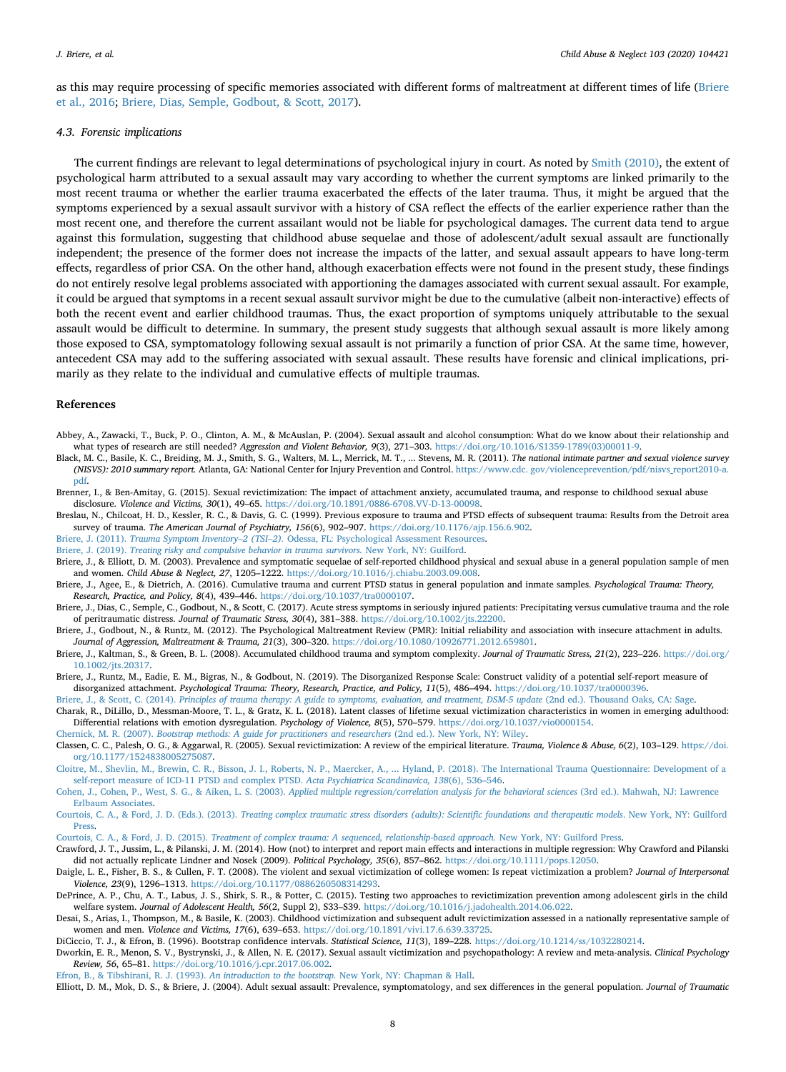as this may require processing of specific memories associated with different forms of maltreatment at different times of life ([Briere](#page-7-11) [et al., 2016;](#page-7-11) [Briere, Dias, Semple, Godbout, & Scott, 2017](#page-7-27)).

#### *4.3. Forensic implications*

The current findings are relevant to legal determinations of psychological injury in court. As noted by [Smith \(2010\),](#page-8-17) the extent of psychological harm attributed to a sexual assault may vary according to whether the current symptoms are linked primarily to the most recent trauma or whether the earlier trauma exacerbated the effects of the later trauma. Thus, it might be argued that the symptoms experienced by a sexual assault survivor with a history of CSA reflect the effects of the earlier experience rather than the most recent one, and therefore the current assailant would not be liable for psychological damages. The current data tend to argue against this formulation, suggesting that childhood abuse sequelae and those of adolescent/adult sexual assault are functionally independent; the presence of the former does not increase the impacts of the latter, and sexual assault appears to have long-term effects, regardless of prior CSA. On the other hand, although exacerbation effects were not found in the present study, these findings do not entirely resolve legal problems associated with apportioning the damages associated with current sexual assault. For example, it could be argued that symptoms in a recent sexual assault survivor might be due to the cumulative (albeit non-interactive) effects of both the recent event and earlier childhood traumas. Thus, the exact proportion of symptoms uniquely attributable to the sexual assault would be difficult to determine. In summary, the present study suggests that although sexual assault is more likely among those exposed to CSA, symptomatology following sexual assault is not primarily a function of prior CSA. At the same time, however, antecedent CSA may add to the suffering associated with sexual assault. These results have forensic and clinical implications, primarily as they relate to the individual and cumulative effects of multiple traumas.

#### **References**

<span id="page-7-3"></span>Abbey, A., Zawacki, T., Buck, P. O., Clinton, A. M., & McAuslan, P. (2004). Sexual assault and alcohol consumption: What do we know about their relationship and what types of research are still needed? *Aggression and Violent Behavior, 9*(3), 271–303. [https://doi.org/10.1016/S1359-1789\(03\)00011-9](https://doi.org/10.1016/S1359-1789(03)00011-9).

- <span id="page-7-0"></span>Black, M. C., Basile, K. C., Breiding, M. J., Smith, S. G., Walters, M. L., Merrick, M. T., ... Stevens, M. R. (2011). *The national intimate partner and sexual violence survey (NISVS): 2010 summary report.* Atlanta, GA: National Center for Injury Prevention and Control. [https://www.cdc. gov/violenceprevention/pdf/nisvs\\_report2010-a.](https://www.cdc.%20gov/violenceprevention/pdf/nisvs_report2010-a.pdf) [pdf](https://www.cdc.%20gov/violenceprevention/pdf/nisvs_report2010-a.pdf).
- <span id="page-7-23"></span>Brenner, I., & Ben-Amitay, G. (2015). Sexual revictimization: The impact of attachment anxiety, accumulated trauma, and response to childhood sexual abuse disclosure. *Violence and Victims, 30*(1), 49–65. <https://doi.org/10.1891/0886-6708.VV-D-13-00098>.

<span id="page-7-9"></span>Breslau, N., Chilcoat, H. D., Kessler, R. C., & Davis, G. C. (1999). Previous exposure to trauma and PTSD effects of subsequent trauma: Results from the Detroit area survey of trauma. *The American Journal of Psychiatry, 156*(6), 902–907. <https://doi.org/10.1176/ajp.156.6.902>.

<span id="page-7-16"></span>Briere, J. (2011). *Trauma Symptom Inventory–2 (TSI–2).* [Odessa, FL: Psychological Assessment Resources.](http://refhub.elsevier.com/S0145-2134(20)30076-4/sbref0025)

<span id="page-7-25"></span>Briere, J. (2019). *[Treating risky and compulsive behavior in trauma survivors.](http://refhub.elsevier.com/S0145-2134(20)30076-4/sbref0030)* New York, NY: Guilford.

<span id="page-7-21"></span>Briere, J., & Elliott, D. M. (2003). Prevalence and symptomatic sequelae of self-reported childhood physical and sexual abuse in a general population sample of men and women. *Child Abuse & Neglect, 27*, 1205–1222. [https://doi.org/10.1016/j.chiabu.2003.09.008.](https://doi.org/10.1016/j.chiabu.2003.09.008)

<span id="page-7-11"></span>Briere, J., Agee, E., & Dietrich, A. (2016). Cumulative trauma and current PTSD status in general population and inmate samples. *Psychological Trauma: Theory, Research, Practice, and Policy, 8*(4), 439–446. <https://doi.org/10.1037/tra0000107>.

<span id="page-7-27"></span>Briere, J., Dias, C., Semple, C., Godbout, N., & Scott, C. (2017). Acute stress symptoms in seriously injured patients: Precipitating versus cumulative trauma and the role of peritraumatic distress. *Journal of Traumatic Stress, 30*(4), 381–388. [https://doi.org/10.1002/jts.22200.](https://doi.org/10.1002/jts.22200)

<span id="page-7-14"></span>Briere, J., Godbout, N., & Runtz, M. (2012). The Psychological Maltreatment Review (PMR): Initial reliability and association with insecure attachment in adults. *Journal of Aggression, Maltreatment & Trauma, 21*(3), 300–320. <https://doi.org/10.1080/10926771.2012.659801>.

<span id="page-7-10"></span>Briere, J., Kaltman, S., & Green, B. L. (2008). Accumulated childhood trauma and symptom complexity. *Journal of Traumatic Stress, 21*(2), 223–226. [https://doi.org/](https://doi.org/10.1002/jts.20317) [10.1002/jts.20317.](https://doi.org/10.1002/jts.20317)

<span id="page-7-15"></span>Briere, J., Runtz, M., Eadie, E. M., Bigras, N., & Godbout, N. (2019). The Disorganized Response Scale: Construct validity of a potential self-report measure of disorganized attachment. *Psychological Trauma: Theory, Research, Practice, and Policy, 11*(5), 486–494. [https://doi.org/10.1037/tra0000396.](https://doi.org/10.1037/tra0000396)

<span id="page-7-22"></span><span id="page-7-12"></span>Briere, J., & Scott, C. (2014). *[Principles of trauma therapy: A guide to symptoms, evaluation, and treatment, DSM-5 update](http://refhub.elsevier.com/S0145-2134(20)30076-4/sbref0065)* (2nd ed.). Thousand Oaks, CA: Sage. Charak, R., DiLillo, D., Messman-Moore, T. L., & Gratz, K. L. (2018). Latent classes of lifetime sexual victimization characteristics in women in emerging adulthood: Differential relations with emotion dysregulation. *Psychology of Violence, 8*(5), 570–579. [https://doi.org/10.1037/vio0000154.](https://doi.org/10.1037/vio0000154)

<span id="page-7-18"></span>Chernick, M. R. (2007). *[Bootstrap methods: A guide for practitioners and researchers](http://refhub.elsevier.com/S0145-2134(20)30076-4/sbref0075)* (2nd ed.). New York, NY: Wiley.

<span id="page-7-5"></span>Classen, C. C., Palesh, O. G., & Aggarwal, R. (2005). Sexual revictimization: A review of the empirical literature. *Trauma, Violence & Abuse, 6*(2), 103–129. [https://doi.](https://doi.org/10.1177/1524838005275087) [org/10.1177/1524838005275087](https://doi.org/10.1177/1524838005275087).

<span id="page-7-26"></span>[Cloitre, M., Shevlin, M., Brewin, C. R., Bisson, J. I., Roberts, N. P., Maercker, A., ... Hyland, P. \(2018\). The International Trauma Questionnaire: Development of a](http://refhub.elsevier.com/S0145-2134(20)30076-4/sbref0085) self-report measure of ICD-11 PTSD and complex PTSD. Acta Psychiatrica Scandinavica, 138(6), 536-546.

<span id="page-7-6"></span>Cohen, J., Cohen, P., West, S. G., & Aiken, L. S. (2003). *[Applied multiple regression/correlation analysis for the behavioral sciences](http://refhub.elsevier.com/S0145-2134(20)30076-4/sbref0090)* (3rd ed.). Mahwah, NJ: Lawrence [Erlbaum Associates.](http://refhub.elsevier.com/S0145-2134(20)30076-4/sbref0090)

<span id="page-7-8"></span>Courtois, C. A., & Ford, J. D. (Eds.). (2013). *[Treating complex traumatic stress disorders \(adults\): Scientific foundations and therapeutic models](http://refhub.elsevier.com/S0145-2134(20)30076-4/sbref0095)*. New York, NY: Guilford [Press](http://refhub.elsevier.com/S0145-2134(20)30076-4/sbref0095).

<span id="page-7-13"></span>Courtois, C. A., & Ford, J. D. (2015). *[Treatment of complex trauma: A sequenced, relationship-based approach.](http://refhub.elsevier.com/S0145-2134(20)30076-4/sbref0100)* New York, NY: Guilford Press.

<span id="page-7-7"></span>Crawford, J. T., Jussim, L., & Pilanski, J. M. (2014). How (not) to interpret and report main effects and interactions in multiple regression: Why Crawford and Pilanski did not actually replicate Lindner and Nosek (2009). *Political Psychology, 35*(6), 857–862. <https://doi.org/10.1111/pops.12050>.

<span id="page-7-4"></span>Daigle, L. E., Fisher, B. S., & Cullen, F. T. (2008). The violent and sexual victimization of college women: Is repeat victimization a problem? *Journal of Interpersonal Violence, 23*(9), 1296–1313. [https://doi.org/10.1177/0886260508314293.](https://doi.org/10.1177/0886260508314293)

<span id="page-7-24"></span>DePrince, A. P., Chu, A. T., Labus, J. S., Shirk, S. R., & Potter, C. (2015). Testing two approaches to revictimization prevention among adolescent girls in the child welfare system. *Journal of Adolescent Health, 56*(2, Suppl 2), S33–S39. <https://doi.org/10.1016/j.jadohealth.2014.06.022>.

<span id="page-7-20"></span>Desai, S., Arias, I., Thompson, M., & Basile, K. (2003). Childhood victimization and subsequent adult revictimization assessed in a nationally representative sample of women and men. *Violence and Victims, 17*(6), 639–653. <https://doi.org/10.1891/vivi.17.6.639.33725>.

<span id="page-7-19"></span>DiCiccio, T. J., & Efron, B. (1996). Bootstrap confidence intervals. *Statistical Science, 11*(3), 189–228. <https://doi.org/10.1214/ss/1032280214>.

<span id="page-7-2"></span>Dworkin, E. R., Menon, S. V., Bystrynski, J., & Allen, N. E. (2017). Sexual assault victimization and psychopathology: A review and meta-analysis. *Clinical Psychology Review, 56*, 65–81. <https://doi.org/10.1016/j.cpr.2017.06.002>.

<span id="page-7-17"></span>[Efron, B., & Tibshirani, R. J. \(1993\).](http://refhub.elsevier.com/S0145-2134(20)30076-4/sbref0135) *An introduction to the bootstrap.* New York, NY: Chapman & Hall.

<span id="page-7-1"></span>Elliott, D. M., Mok, D. S., & Briere, J. (2004). Adult sexual assault: Prevalence, symptomatology, and sex differences in the general population. *Journal of Traumatic*